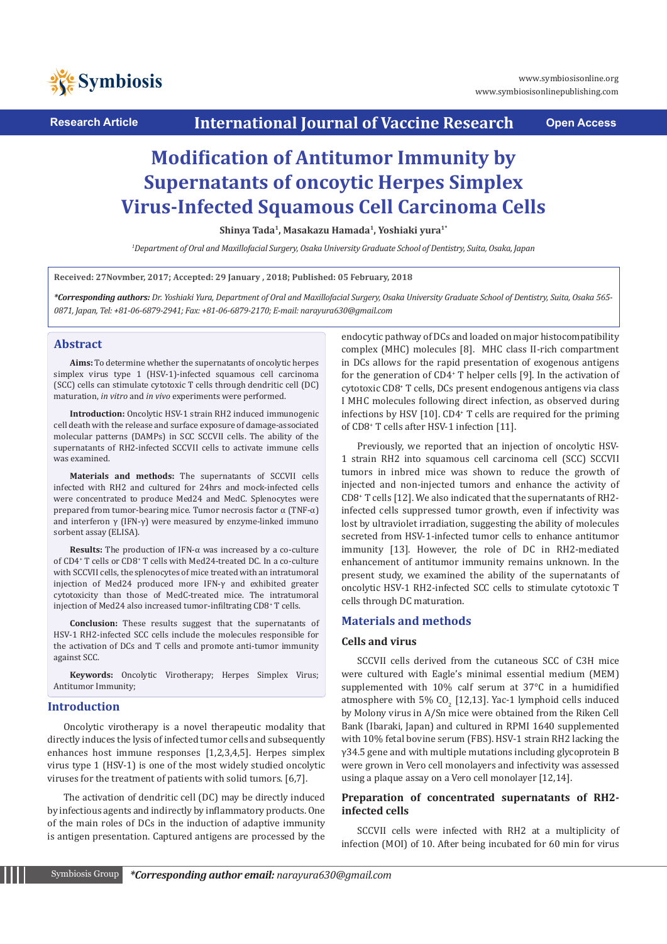

**Research Article International Journal of Vaccine Research Open Access**

# **Modification of Antitumor Immunity by Supernatants of oncoytic Herpes Simplex Virus-Infected Squamous Cell Carcinoma Cells**

**Shinya Tada<sup>1</sup>, Masakazu Hamada<sup>1</sup>, Yoshiaki yura1\***

*1 Department of Oral and Maxillofacial Surgery, Osaka University Graduate School of Dentistry, Suita, Osaka, Japan*

**Received: 27Novmber, 2017; Accepted: 29 January , 2018; Published: 05 February, 2018**

*\*Corresponding authors: Dr. Yoshiaki Yura, Department of Oral and Maxillofacial Surgery, Osaka University Graduate School of Dentistry, Suita, Osaka 565- 0871, Japan, Tel: +81-06-6879-2941; Fax: +81-06-6879-2170; E-mail: narayura630@gmail.com* 

#### **Abstract**

**Aims:** To determine whether the supernatants of oncolytic herpes simplex virus type 1 (HSV-1)-infected squamous cell carcinoma (SCC) cells can stimulate cytotoxic T cells through dendritic cell (DC) maturation, *in vitro* and *in vivo* experiments were performed.

**Introduction:** Oncolytic HSV-1 strain RH2 induced immunogenic cell death with the release and surface exposure of damage-associated molecular patterns (DAMPs) in SCC SCCVII cells. The ability of the supernatants of RH2-infected SCCVII cells to activate immune cells was examined.

**Materials and methods:** The supernatants of SCCVII cells infected with RH2 and cultured for 24hrs and mock-infected cells were concentrated to produce Med24 and MedC. Splenocytes were prepared from tumor-bearing mice. Tumor necrosis factor α (TNF-α) and interferon γ (IFN-γ) were measured by enzyme-linked immuno sorbent assay (ELISA).

**Results:** The production of IFN-α was increased by a co-culture of CD4<sup>+</sup> T cells or CD8<sup>+</sup> T cells with Med24-treated DC. In a co-culture with SCCVII cells, the splenocytes of mice treated with an intratumoral injection of Med24 produced more IFN-γ and exhibited greater cytotoxicity than those of MedC-treated mice. The intratumoral injection of Med24 also increased tumor-infiltrating CD8<sup>+</sup> T cells.

**Conclusion:** These results suggest that the supernatants of HSV-1 RH2-infected SCC cells include the molecules responsible for the activation of DCs and T cells and promote anti-tumor immunity against SCC.

**Keywords:** Oncolytic Virotherapy; Herpes Simplex Virus; Antitumor Immunity;

#### **Introduction**

Oncolytic virotherapy is a novel therapeutic modality that directly induces the lysis of infected tumor cells and subsequently enhances host immune responses [1,2,3,4,5]. Herpes simplex virus type 1 (HSV-1) is one of the most widely studied oncolytic viruses for the treatment of patients with solid tumors. [6,7].

The activation of dendritic cell (DC) may be directly induced by infectious agents and indirectly by inflammatory products. One of the main roles of DCs in the induction of adaptive immunity is antigen presentation. Captured antigens are processed by the endocytic pathway of DCs and loaded on major histocompatibility complex (MHC) molecules [8]. MHC class II-rich compartment in DCs allows for the rapid presentation of exogenous antigens for the generation of CD4+ T helper cells [9]. In the activation of cytotoxic CD8+ T cells, DCs present endogenous antigens via class I MHC molecules following direct infection, as observed during infections by HSV [10]. CD4+ T cells are required for the priming of CD8+ T cells after HSV-1 infection [11].

Previously, we reported that an injection of oncolytic HSV-1 strain RH2 into squamous cell carcinoma cell (SCC) SCCVII tumors in inbred mice was shown to reduce the growth of injected and non-injected tumors and enhance the activity of CD8+ T cells [12]. We also indicated that the supernatants of RH2 infected cells suppressed tumor growth, even if infectivity was lost by ultraviolet irradiation, suggesting the ability of molecules secreted from HSV-1-infected tumor cells to enhance antitumor immunity [13]. However, the role of DC in RH2-mediated enhancement of antitumor immunity remains unknown. In the present study, we examined the ability of the supernatants of oncolytic HSV-1 RH2-infected SCC cells to stimulate cytotoxic T cells through DC maturation.

### **Materials and methods**

#### **Cells and virus**

SCCVII cells derived from the cutaneous SCC of C3H mice were cultured with Eagle's minimal essential medium (MEM) supplemented with 10% calf serum at 37°C in a humidified atmosphere with 5%  $CO_2$  [12,13]. Yac-1 lymphoid cells induced by Molony virus in A/Sn mice were obtained from the Riken Cell Bank (Ibaraki, Japan) and cultured in RPMI 1640 supplemented with 10% fetal bovine serum (FBS). HSV-1 strain RH2 lacking the γ34.5 gene and with multiple mutations including glycoprotein B were grown in Vero cell monolayers and infectivity was assessed using a plaque assay on a Vero cell monolayer [12,14].

# **Preparation of concentrated supernatants of RH2 infected cells**

SCCVII cells were infected with RH2 at a multiplicity of infection (MOI) of 10. After being incubated for 60 min for virus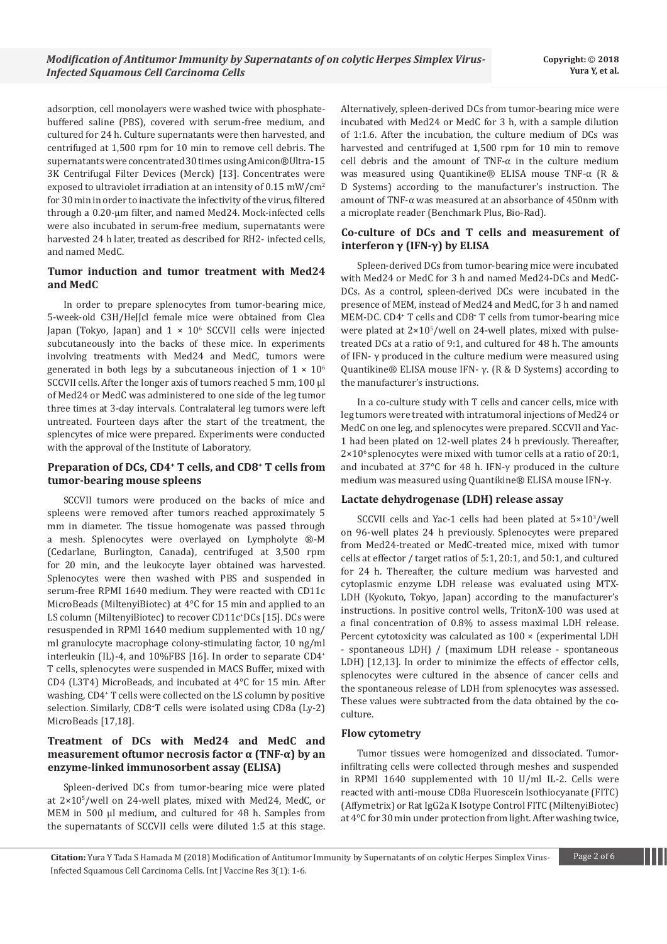adsorption, cell monolayers were washed twice with phosphatebuffered saline (PBS), covered with serum-free medium, and cultured for 24 h. Culture supernatants were then harvested, and centrifuged at 1,500 rpm for 10 min to remove cell debris. The supernatants were concentrated 30 times using Amicon®Ultra-15 3K Centrifugal Filter Devices (Merck) [13]. Concentrates were exposed to ultraviolet irradiation at an intensity of 0.15 mW/cm<sup>2</sup> for 30 min in order to inactivate the infectivity of the virus, filtered through a 0.20-µm filter, and named Med24. Mock-infected cells were also incubated in serum-free medium, supernatants were harvested 24 h later, treated as described for RH2- infected cells, and named MedC.

#### **Tumor induction and tumor treatment with Med24 and MedC**

In order to prepare splenocytes from tumor-bearing mice, 5-week-old C3H/HeJJcl female mice were obtained from Clea Japan (Tokyo, Japan) and 1 × 106 SCCVII cells were injected subcutaneously into the backs of these mice. In experiments involving treatments with Med24 and MedC, tumors were generated in both legs by a subcutaneous injection of  $1 \times 10^6$ SCCVII cells. After the longer axis of tumors reached 5 mm, 100 µl of Med24 or MedC was administered to one side of the leg tumor three times at 3-day intervals. Contralateral leg tumors were left untreated. Fourteen days after the start of the treatment, the splencytes of mice were prepared. Experiments were conducted with the approval of the Institute of Laboratory.

#### **Preparation of DCs, CD4<sup>+</sup> T cells, and CD8<sup>+</sup> T cells from tumor-bearing mouse spleens**

SCCVII tumors were produced on the backs of mice and spleens were removed after tumors reached approximately 5 mm in diameter. The tissue homogenate was passed through a mesh. Splenocytes were overlayed on Lympholyte ®-M (Cedarlane, Burlington, Canada), centrifuged at 3,500 rpm for 20 min, and the leukocyte layer obtained was harvested. Splenocytes were then washed with PBS and suspended in serum-free RPMI 1640 medium. They were reacted with CD11c MicroBeads (MiltenyiBiotec) at 4°C for 15 min and applied to an LS column (MiltenyiBiotec) to recover CD11c+ DCs [15]. DCs were resuspended in RPMI 1640 medium supplemented with 10 ng/ ml granulocyte macrophage colony-stimulating factor, 10 ng/ml interleukin (IL)-4, and 10%FBS [16]. In order to separate CD4<sup>+</sup> T cells, splenocytes were suspended in MACS Buffer, mixed with CD4 (L3T4) MicroBeads, and incubated at 4°C for 15 min. After washing, CD4+ T cells were collected on the LS column by positive selection. Similarly, CD8+ T cells were isolated using CD8a (Ly-2) MicroBeads [17,18].

# **Treatment of DCs with Med24 and MedC and measurement oftumor necrosis factor α (TNF-α) by an enzyme-linked immunosorbent assay (ELISA)**

Spleen-derived DCs from tumor-bearing mice were plated at 2×105 /well on 24-well plates, mixed with Med24, MedC, or MEM in 500 µl medium, and cultured for 48 h. Samples from the supernatants of SCCVII cells were diluted 1:5 at this stage.

Alternatively, spleen-derived DCs from tumor-bearing mice were incubated with Med24 or MedC for 3 h, with a sample dilution of 1:1.6. After the incubation, the culture medium of DCs was harvested and centrifuged at 1,500 rpm for 10 min to remove cell debris and the amount of TNF- $\alpha$  in the culture medium was measured using Quantikine® ELISA mouse TNF-α (R & D Systems) according to the manufacturer's instruction. The amount of TNF-α was measured at an absorbance of 450nm with a microplate reader (Benchmark Plus, Bio-Rad).

# **Co-culture of DCs and T cells and measurement of interferon γ (IFN-γ) by ELISA**

Spleen-derived DCs from tumor-bearing mice were incubated with Med24 or MedC for 3 h and named Med24-DCs and MedC-DCs. As a control, spleen-derived DCs were incubated in the presence of MEM, instead of Med24 and MedC, for 3 h and named MEM-DC. CD4+ T cells and CD8+ T cells from tumor-bearing mice were plated at  $2\times10^{5}/$  well on 24-well plates, mixed with pulsetreated DCs at a ratio of 9:1, and cultured for 48 h. The amounts of IFN- γ produced in the culture medium were measured using Quantikine® ELISA mouse IFN- γ. (R & D Systems) according to the manufacturer's instructions.

In a co-culture study with T cells and cancer cells, mice with leg tumors were treated with intratumoral injections of Med24 or MedC on one leg, and splenocytes were prepared. SCCVII and Yac-1 had been plated on 12-well plates 24 h previously. Thereafter,  $2\times10^{6}$  splenocytes were mixed with tumor cells at a ratio of 20:1, and incubated at 37°C for 48 h. IFN-γ produced in the culture medium was measured using Quantikine® ELISA mouse IFN-γ.

#### **Lactate dehydrogenase (LDH) release assay**

SCCVII cells and Yac-1 cells had been plated at 5×103 /well on 96-well plates 24 h previously. Splenocytes were prepared from Med24-treated or MedC-treated mice, mixed with tumor cells at effector / target ratios of 5:1, 20:1, and 50:1, and cultured for 24 h. Thereafter, the culture medium was harvested and cytoplasmic enzyme LDH release was evaluated using MTX-LDH (Kyokuto, Tokyo, Japan) according to the manufacturer's instructions. In positive control wells, TritonX-100 was used at a final concentration of 0.8% to assess maximal LDH release. Percent cytotoxicity was calculated as 100 × (experimental LDH - spontaneous LDH) / (maximum LDH release - spontaneous LDH) [12,13]. In order to minimize the effects of effector cells, splenocytes were cultured in the absence of cancer cells and the spontaneous release of LDH from splenocytes was assessed. These values were subtracted from the data obtained by the coculture.

#### **Flow cytometry**

Tumor tissues were homogenized and dissociated. Tumorinfiltrating cells were collected through meshes and suspended in RPMI 1640 supplemented with 10 U/ml IL-2. Cells were reacted with anti-mouse CD8a Fluorescein Isothiocyanate (FITC) (Affymetrix) or Rat IgG2a K Isotype Control FITC (MiltenyiBiotec) at 4°C for 30 min under protection from light. After washing twice,

**Citation:** Yura Y Tada S Hamada M (2018) Modification of Antitumor Immunity by Supernatants of on colytic Herpes Simplex Virus- Page 2 of 6 Infected Squamous Cell Carcinoma Cells. Int J Vaccine Res 3(1): 1-6.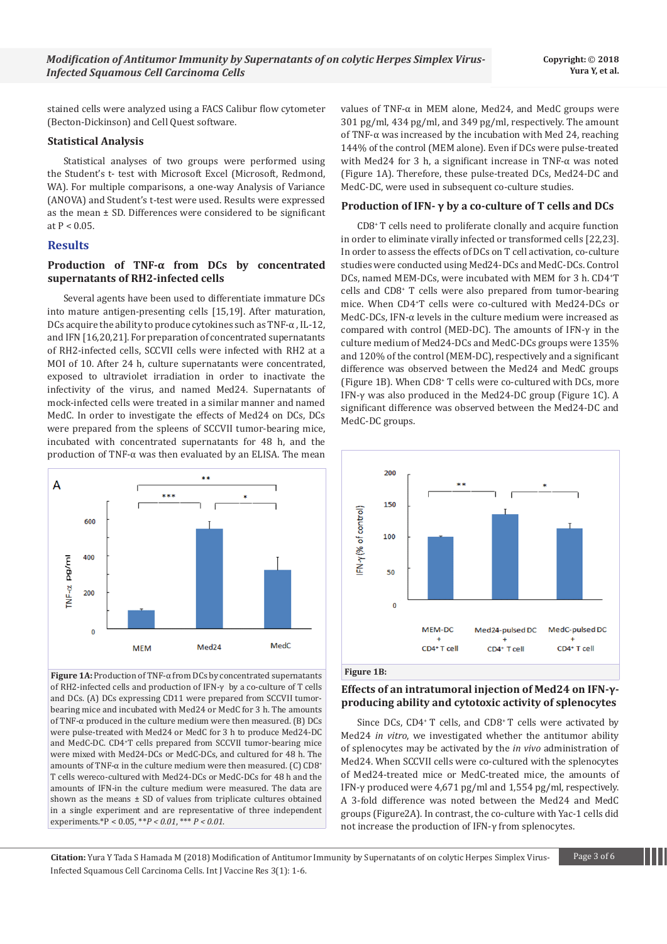stained cells were analyzed using a FACS Calibur flow cytometer (Becton-Dickinson) and Cell Quest software.

#### **Statistical Analysis**

Statistical analyses of two groups were performed using the Student's t- test with Microsoft Excel (Microsoft, Redmond, WA). For multiple comparisons, a one-way Analysis of Variance (ANOVA) and Student's t-test were used. Results were expressed as the mean  $\pm$  SD. Differences were considered to be significant at  $P < 0.05$ .

#### **Results**

#### **Production of TNF-α from DCs by concentrated supernatants of RH2-infected cells**

Several agents have been used to differentiate immature DCs into mature antigen-presenting cells [15,19]. After maturation, DCs acquire the ability to produce cytokines such as TNF-α , IL-12, and IFN [16,20,21]. For preparation of concentrated supernatants of RH2-infected cells, SCCVII cells were infected with RH2 at a MOI of 10. After 24 h, culture supernatants were concentrated, exposed to ultraviolet irradiation in order to inactivate the infectivity of the virus, and named Med24. Supernatants of mock-infected cells were treated in a similar manner and named MedC. In order to investigate the effects of Med24 on DCs, DCs were prepared from the spleens of SCCVII tumor-bearing mice, incubated with concentrated supernatants for 48 h, and the production of TNF-α was then evaluated by an ELISA. The mean



**Figure 1A:** Production of TNF-α from DCs by concentrated supernatants of RH2-infected cells and production of IFN-γ by a co-culture of T cells and DCs. (A) DCs expressing CD11 were prepared from SCCVII tumorbearing mice and incubated with Med24 or MedC for 3 h. The amounts of TNF-α produced in the culture medium were then measured. (B) DCs were pulse-treated with Med24 or MedC for 3 h to produce Med24-DC and MedC-DC. CD4+ T cells prepared from SCCVII tumor-bearing mice were mixed with Med24-DCs or MedC-DCs, and cultured for 48 h. The amounts of TNF- $\alpha$  in the culture medium were then measured. (C) CD8<sup>+</sup> T cells wereco-cultured with Med24-DCs or MedC-DCs for 48 h and the amounts of IFN-in the culture medium were measured. The data are shown as the means  $\pm$  SD of values from triplicate cultures obtained in a single experiment and are representative of three independent experiments.\*P < 0.05, \*\**P < 0.01*, \*\*\* *P < 0.01*.

values of TNF-α in MEM alone, Med24, and MedC groups were 301 pg/ml, 434 pg/ml, and 349 pg/ml, respectively. The amount of TNF- $\alpha$  was increased by the incubation with Med 24, reaching 144% of the control (MEM alone). Even if DCs were pulse-treated with Med24 for 3 h, a significant increase in TNF-α was noted (Figure 1A). Therefore, these pulse-treated DCs, Med24-DC and MedC-DC, were used in subsequent co-culture studies.

# **Production of IFN- γ by a co-culture of T cells and DCs**

CD8+ T cells need to proliferate clonally and acquire function in order to eliminate virally infected or transformed cells [22,23]. In order to assess the effects of DCs on T cell activation, co-culture studies were conducted using Med24-DCs and MedC-DCs. Control DCs, named MEM-DCs, were incubated with MEM for 3 h. CD4+ T cells and CD8+ T cells were also prepared from tumor-bearing mice. When CD4+ T cells were co-cultured with Med24-DCs or MedC-DCs, IFN- $\alpha$  levels in the culture medium were increased as compared with control (MED-DC). The amounts of IFN-γ in the culture medium of Med24-DCs and MedC-DCs groups were 135% and 120% of the control (MEM-DC), respectively and a significant difference was observed between the Med24 and MedC groups (Figure 1B). When CD8<sup>+</sup> T cells were co-cultured with DCs, more IFN-γ was also produced in the Med24-DC group (Figure 1C). A significant difference was observed between the Med24-DC and MedC-DC groups.





# **Effects of an intratumoral injection of Med24 on IFN-γproducing ability and cytotoxic activity of splenocytes**

Since DCs, CD4<sup>+</sup> T cells, and CD8<sup>+</sup> T cells were activated by Med24 *in vitro*, we investigated whether the antitumor ability of splenocytes may be activated by the *in vivo* administration of Med24. When SCCVII cells were co-cultured with the splenocytes of Med24-treated mice or MedC-treated mice, the amounts of IFN-γ produced were 4,671 pg/ml and 1,554 pg/ml, respectively. A 3-fold difference was noted between the Med24 and MedC groups (Figure2A). In contrast, the co-culture with Yac-1 cells did not increase the production of IFN-γ from splenocytes.

**Citation:** Yura Y Tada S Hamada M (2018) Modification of Antitumor Immunity by Supernatants of on colytic Herpes Simplex Virus- Page 3 of 6 Infected Squamous Cell Carcinoma Cells. Int J Vaccine Res 3(1): 1-6.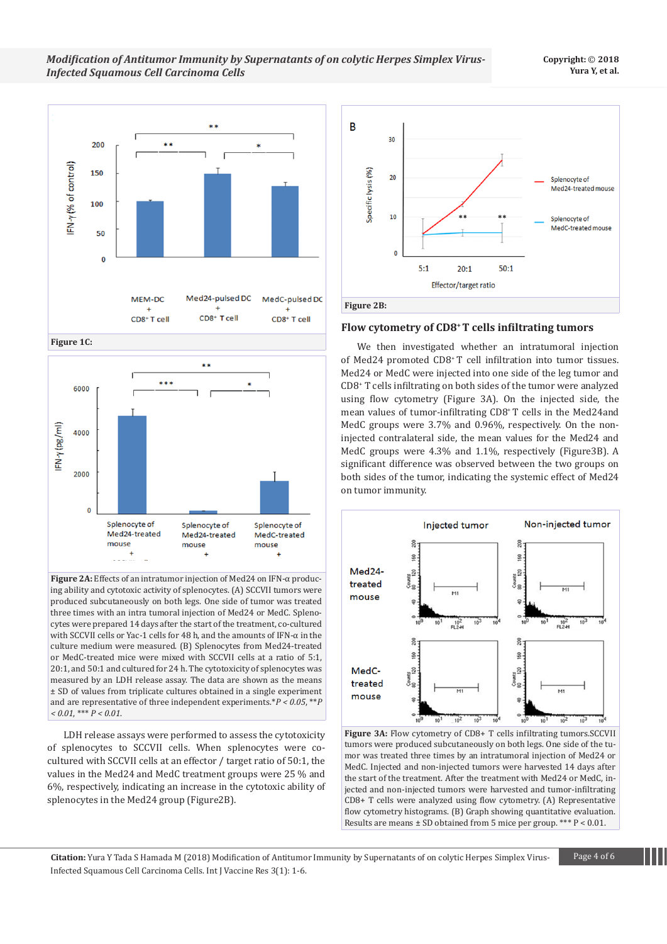#### **Copyright:** © **2018 Yura Y, et al.**



**Figure 1C:** 



**Figure 2A:** Effects of an intratumor injection of Med24 on IFN-α producing ability and cytotoxic activity of splenocytes. (A) SCCVII tumors were produced subcutaneously on both legs. One side of tumor was treated three times with an intra tumoral injection of Med24 or MedC. Splenocytes were prepared 14 days after the start of the treatment, co-cultured with SCCVII cells or Yac-1 cells for 48 h, and the amounts of IFN-α in the culture medium were measured. (B) Splenocytes from Med24-treated or MedC-treated mice were mixed with SCCVII cells at a ratio of 5:1, 20:1, and 50:1 and cultured for 24 h. The cytotoxicity of splenocytes was measured by an LDH release assay. The data are shown as the means ± SD of values from triplicate cultures obtained in a single experiment and are representative of three independent experiments.\**P < 0.05*, \*\**P < 0.01*, \*\*\* *P < 0.01*.

LDH release assays were performed to assess the cytotoxicity of splenocytes to SCCVII cells. When splenocytes were cocultured with SCCVII cells at an effector / target ratio of 50:1, the values in the Med24 and MedC treatment groups were 25 % and 6%, respectively, indicating an increase in the cytotoxic ability of splenocytes in the Med24 group (Figure2B).



#### **Flow cytometry of CD8+ T cells infiltrating tumors**

We then investigated whether an intratumoral injection of Med24 promoted CD8+ T cell infiltration into tumor tissues. Med24 or MedC were injected into one side of the leg tumor and CD8+ T cells infiltrating on both sides of the tumor were analyzed using flow cytometry (Figure 3A). On the injected side, the mean values of tumor-infiltrating CD8+ T cells in the Med24and MedC groups were 3.7% and 0.96%, respectively. On the noninjected contralateral side, the mean values for the Med24 and MedC groups were 4.3% and 1.1%, respectively (Figure3B). A significant difference was observed between the two groups on both sides of the tumor, indicating the systemic effect of Med24 on tumor immunity.



**Figure 3A:** Flow cytometry of CD8+ T cells infiltrating tumors.SCCVII tumors were produced subcutaneously on both legs. One side of the tumor was treated three times by an intratumoral injection of Med24 or MedC. Injected and non-injected tumors were harvested 14 days after the start of the treatment. After the treatment with Med24 or MedC, injected and non-injected tumors were harvested and tumor-infiltrating CD8+ T cells were analyzed using flow cytometry. (A) Representative flow cytometry histograms. (B) Graph showing quantitative evaluation. Results are means ± SD obtained from 5 mice per group. \*\*\* P < 0.01.

**Citation:** Yura Y Tada S Hamada M (2018) Modification of Antitumor Immunity by Supernatants of on colytic Herpes Simplex Virus- Page 4 of 6 Infected Squamous Cell Carcinoma Cells. Int J Vaccine Res 3(1): 1-6.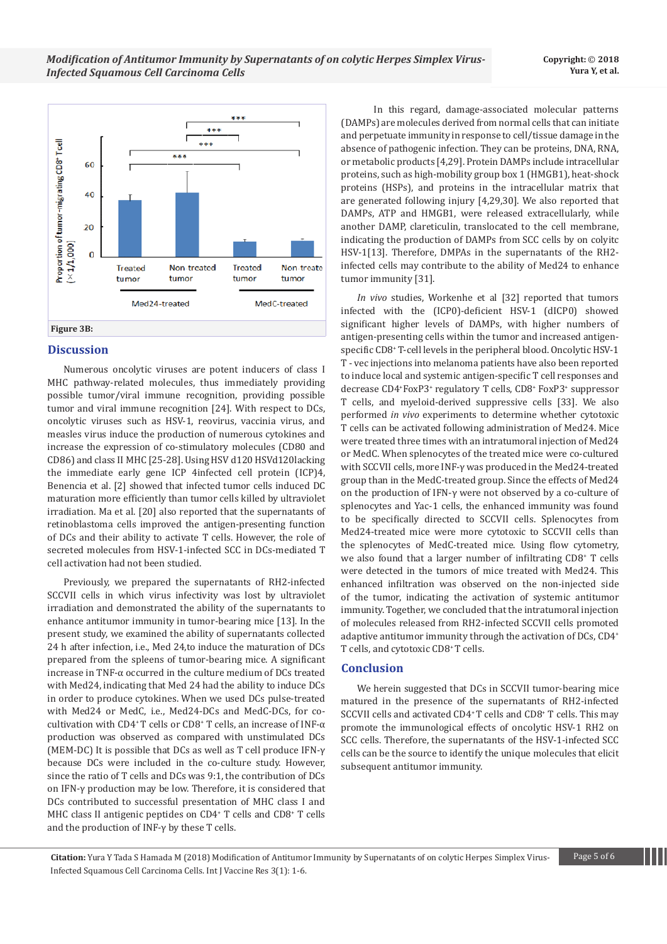

#### **Discussion**

Numerous oncolytic viruses are potent inducers of class I MHC pathway-related molecules, thus immediately providing possible tumor/viral immune recognition, providing possible tumor and viral immune recognition [24]. With respect to DCs, oncolytic viruses such as HSV-1, reovirus, vaccinia virus, and measles virus induce the production of numerous cytokines and increase the expression of co-stimulatory molecules (CD80 and CD86) and class II MHC [25-28]. Using HSV d120 HSVd120lacking the immediate early gene ICP 4infected cell protein (ICP)4, Benencia et al. [2] showed that infected tumor cells induced DC maturation more efficiently than tumor cells killed by ultraviolet irradiation. Ma et al. [20] also reported that the supernatants of retinoblastoma cells improved the antigen-presenting function of DCs and their ability to activate T cells. However, the role of secreted molecules from HSV-1-infected SCC in DCs-mediated T cell activation had not been studied.

Previously, we prepared the supernatants of RH2-infected SCCVII cells in which virus infectivity was lost by ultraviolet irradiation and demonstrated the ability of the supernatants to enhance antitumor immunity in tumor-bearing mice [13]. In the present study, we examined the ability of supernatants collected 24 h after infection, i.e., Med 24,to induce the maturation of DCs prepared from the spleens of tumor-bearing mice. A significant increase in TNF-α occurred in the culture medium of DCs treated with Med24, indicating that Med 24 had the ability to induce DCs in order to produce cytokines. When we used DCs pulse-treated with Med24 or MedC, i.e., Med24-DCs and MedC-DCs, for co- $\alpha$  cultivation with CD4<sup>+</sup> T cells or CD8<sup>+</sup> T cells, an increase of INF- $\alpha$ production was observed as compared with unstimulated DCs (MEM-DC) It is possible that DCs as well as T cell produce IFN-γ because DCs were included in the co-culture study. However, since the ratio of T cells and DCs was 9:1, the contribution of DCs on IFN-γ production may be low. Therefore, it is considered that DCs contributed to successful presentation of MHC class I and MHC class II antigenic peptides on CD4+ T cells and CD8+ T cells and the production of INF-γ by these T cells.

 In this regard, damage-associated molecular patterns (DAMPs) are molecules derived from normal cells that can initiate and perpetuate immunity in response to cell/tissue damage in the absence of pathogenic infection. They can be proteins, DNA, RNA, or metabolic products [4,29]. Protein DAMPs include intracellular proteins, such as high-mobility group box 1 (HMGB1), heat-shock proteins (HSPs), and proteins in the intracellular matrix that are generated following injury [4,29,30]. We also reported that DAMPs, ATP and HMGB1, were released extracellularly, while another DAMP, clareticulin, translocated to the cell membrane, indicating the production of DAMPs from SCC cells by on colyitc HSV-1[13]. Therefore, DMPAs in the supernatants of the RH2 infected cells may contribute to the ability of Med24 to enhance tumor immunity [31].

*In vivo* studies, Workenhe et al [32] reported that tumors infected with the (ICP0)-deficient HSV-1 (dICP0) showed significant higher levels of DAMPs, with higher numbers of antigen-presenting cells within the tumor and increased antigenspecific CD8<sup>+</sup> T-cell levels in the peripheral blood. Oncolytic HSV-1 T - vec injections into melanoma patients have also been reported to induce local and systemic antigen-specific T cell responses and decrease CD4+ FoxP3<sup>+</sup> regulatory T cells, CD8+ FoxP3<sup>+</sup> suppressor T cells, and myeloid-derived suppressive cells [33]. We also performed *in vivo* experiments to determine whether cytotoxic T cells can be activated following administration of Med24. Mice were treated three times with an intratumoral injection of Med24 or MedC. When splenocytes of the treated mice were co-cultured with SCCVII cells, more INF-γ was produced in the Med24-treated group than in the MedC-treated group. Since the effects of Med24 on the production of IFN-γ were not observed by a co-culture of splenocytes and Yac-1 cells, the enhanced immunity was found to be specifically directed to SCCVII cells. Splenocytes from Med24-treated mice were more cytotoxic to SCCVII cells than the splenocytes of MedC-treated mice. Using flow cytometry, we also found that a larger number of infiltrating CD8<sup>+</sup> T cells were detected in the tumors of mice treated with Med24. This enhanced infiltration was observed on the non-injected side of the tumor, indicating the activation of systemic antitumor immunity. Together, we concluded that the intratumoral injection of molecules released from RH2-infected SCCVII cells promoted adaptive antitumor immunity through the activation of DCs, CD4+ T cells, and cytotoxic CD8+ T cells.

#### **Conclusion**

We herein suggested that DCs in SCCVII tumor-bearing mice matured in the presence of the supernatants of RH2-infected SCCVII cells and activated CD4+ T cells and CD8+ T cells. This may promote the immunological effects of oncolytic HSV-1 RH2 on SCC cells. Therefore, the supernatants of the HSV-1-infected SCC cells can be the source to identify the unique molecules that elicit subsequent antitumor immunity.

**Citation:** Yura Y Tada S Hamada M (2018) Modification of Antitumor Immunity by Supernatants of on colytic Herpes Simplex Virus- Page 5 of 6 Infected Squamous Cell Carcinoma Cells. Int J Vaccine Res 3(1): 1-6.